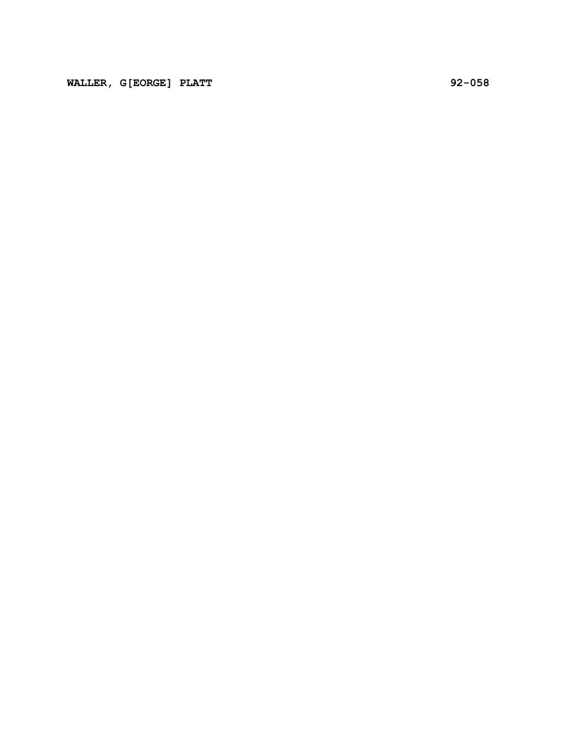WALLER, G[EORGE] PLATT 92-058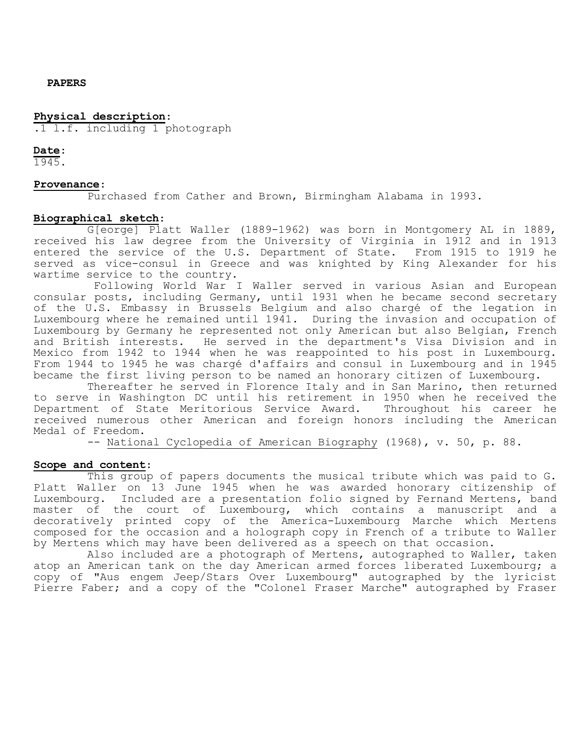### **PAPERS**

## **Physical description**:

.1 l.f. including 1 photograph

### **Date**:

1945.

## **Provenance**:

Purchased from Cather and Brown, Birmingham Alabama in 1993.

## **Biographical sketch**:

G[eorge] Platt Waller (1889-1962) was born in Montgomery AL in 1889, received his law degree from the University of Virginia in 1912 and in 1913 entered the service of the U.S. Department of State. From 1915 to 1919 he served as vice-consul in Greece and was knighted by King Alexander for his wartime service to the country.

Following World War I Waller served in various Asian and European consular posts, including Germany, until 1931 when he became second secretary of the U.S. Embassy in Brussels Belgium and also chargé of the legation in Luxembourg where he remained until 1941. During the invasion and occupation of Luxembourg by Germany he represented not only American but also Belgian, French and British interests. He served in the department's Visa Division and in Mexico from 1942 to 1944 when he was reappointed to his post in Luxembourg. From 1944 to 1945 he was chargé d'affairs and consul in Luxembourg and in 1945 became the first living person to be named an honorary citizen of Luxembourg.

Thereafter he served in Florence Italy and in San Marino, then returned to serve in Washington DC until his retirement in 1950 when he received the<br>Department of State Meritorious Service Award. Throughout his career he Department of State Meritorious Service Award. received numerous other American and foreign honors including the American Medal of Freedom.

-- National Cyclopedia of American Biography (1968), v. 50, p. 88.

# **Scope and content**:

This group of papers documents the musical tribute which was paid to G. Platt Waller on 13 June 1945 when he was awarded honorary citizenship of Luxembourg. Included are a presentation folio signed by Fernand Mertens, band master of the court of Luxembourg, which contains a manuscript and a decoratively printed copy of the America-Luxembourg Marche which Mertens composed for the occasion and a holograph copy in French of a tribute to Waller by Mertens which may have been delivered as a speech on that occasion.

Also included are a photograph of Mertens, autographed to Waller, taken atop an American tank on the day American armed forces liberated Luxembourg; a copy of "Aus engem Jeep/Stars Over Luxembourg" autographed by the lyricist Pierre Faber; and a copy of the "Colonel Fraser Marche" autographed by Fraser